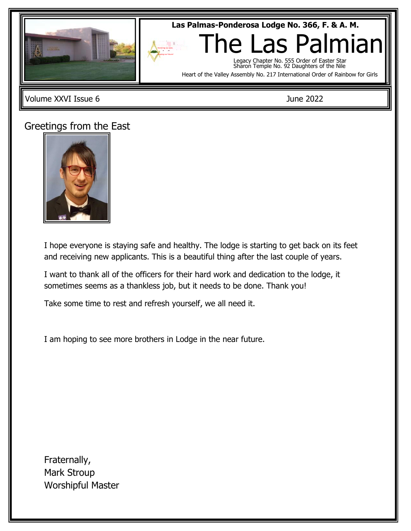

Volume XXVI Issue 6 June 2022

## Greetings from the East

Las Palmas Masonic Center



I hope everyone is staying safe and healthy. The lodge is starting to get back on its feet and receiving new applicants. This is a beautiful thing after the last couple of years.

I want to thank all of the officers for their hard work and dedication to the lodge, it sometimes seems as a thankless job, but it needs to be done. Thank you!

Take some time to rest and refresh yourself, we all need it.

I am hoping to see more brothers in Lodge in the near future.

Fraternally, Mark Stroup Worshipful Master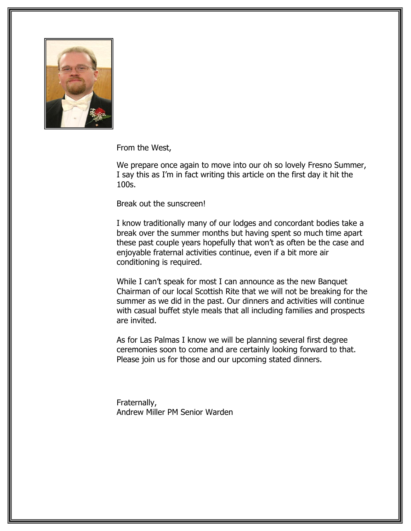

From the West,

We prepare once again to move into our oh so lovely Fresno Summer, I say this as I'm in fact writing this article on the first day it hit the 100s.

Break out the sunscreen!

I know traditionally many of our lodges and concordant bodies take a break over the summer months but having spent so much time apart these past couple years hopefully that won't as often be the case and enjoyable fraternal activities continue, even if a bit more air conditioning is required.

While I can't speak for most I can announce as the new Banquet Chairman of our local Scottish Rite that we will not be breaking for the summer as we did in the past. Our dinners and activities will continue with casual buffet style meals that all including families and prospects are invited.

As for Las Palmas I know we will be planning several first degree ceremonies soon to come and are certainly looking forward to that. Please join us for those and our upcoming stated dinners.

Fraternally, Andrew Miller PM Senior Warden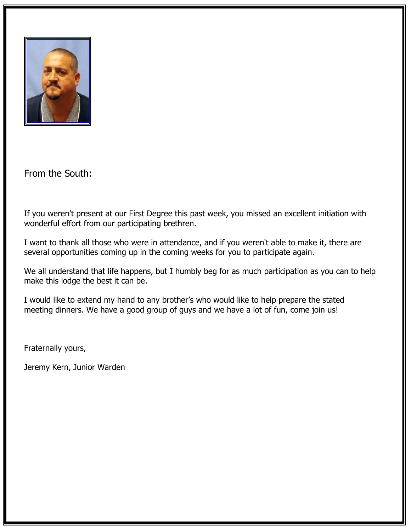

From the South:

If you weren't present at our First Degree this past week, you missed an excellent initiation with wonderful effort from our participating brethren.

I want to thank all those who were in attendance, and if you weren't able to make it, there are several opportunities coming up in the coming weeks for you to participate again.

We all understand that life happens, but I humbly beg for as much participation as you can to help make this lodge the best it can be.

I would like to extend my hand to any brother's who would like to help prepare the stated meeting dinners. We have a good group of guys and we have a lot of fun, come join us!

Fraternally yours,

Jeremy Kern, Junior Warden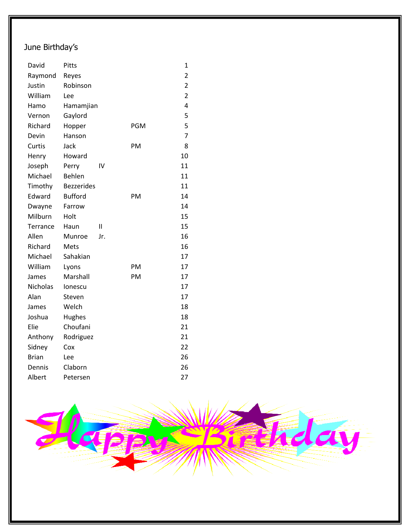## June Birthday's

| David           | Pitts             |               |            | $\mathbf 1$    |
|-----------------|-------------------|---------------|------------|----------------|
| Raymond         | Reyes             |               |            | 2              |
| Justin          | Robinson          |               |            | $\overline{2}$ |
| William         | Lee               |               |            | $\overline{2}$ |
| Hamo            | Hamamjian         |               |            | 4              |
| Vernon          | Gaylord           |               |            | 5              |
| Richard         | Hopper            |               | <b>PGM</b> | 5              |
| Devin           | Hanson            |               |            | $\overline{7}$ |
| Curtis          | Jack              |               | PM         | 8              |
| Henry           | Howard            |               |            | 10             |
| Joseph          | Perry             | I۷            |            | 11             |
| Michael         | Behlen            |               |            | 11             |
| Timothy         | <b>Bezzerides</b> |               |            | 11             |
| Edward          | <b>Bufford</b>    |               | PM         | 14             |
| Dwayne          | Farrow            |               |            | 14             |
| Milburn         | Holt              |               |            | 15             |
| Terrance        | Haun              | $\mathsf{II}$ |            | 15             |
| Allen           | Munroe            | Jr.           |            | 16             |
| Richard         | Mets              |               |            | 16             |
| Michael         | Sahakian          |               |            | 17             |
| William         | Lyons             |               | PM         | 17             |
| James           | Marshall          |               | PM         | 17             |
| <b>Nicholas</b> | lonescu           |               |            | 17             |
| Alan            | Steven            |               |            | 17             |
| James           | Welch             |               |            | 18             |
| Joshua          | Hughes            |               |            | 18             |
| Elie            | Choufani          |               |            | 21             |
| Anthony         | Rodriguez         |               |            | 21             |
| Sidney          | Cox               |               |            | 22             |
| <b>Brian</b>    | Lee               |               |            | 26             |
| Dennis          | Claborn           |               |            | 26             |
| Albert          | Petersen          |               |            | 27             |

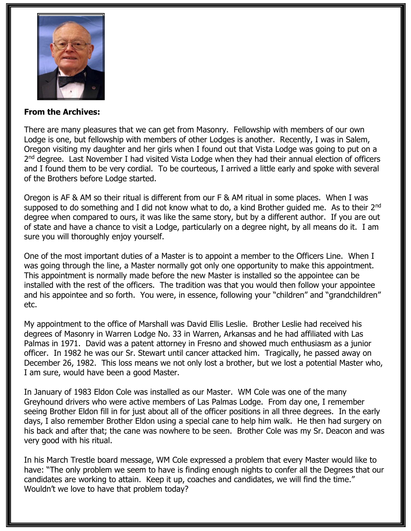

## **From the Archives:**

There are many pleasures that we can get from Masonry. Fellowship with members of our own Lodge is one, but fellowship with members of other Lodges is another. Recently, I was in Salem, Oregon visiting my daughter and her girls when I found out that Vista Lodge was going to put on a 2<sup>nd</sup> degree. Last November I had visited Vista Lodge when they had their annual election of officers and I found them to be very cordial. To be courteous, I arrived a little early and spoke with several of the Brothers before Lodge started.

Oregon is AF & AM so their ritual is different from our F & AM ritual in some places. When I was supposed to do something and I did not know what to do, a kind Brother guided me. As to their  $2^{nd}$ degree when compared to ours, it was like the same story, but by a different author. If you are out of state and have a chance to visit a Lodge, particularly on a degree night, by all means do it. I am sure you will thoroughly enjoy yourself.

One of the most important duties of a Master is to appoint a member to the Officers Line. When I was going through the line, a Master normally got only one opportunity to make this appointment. This appointment is normally made before the new Master is installed so the appointee can be installed with the rest of the officers. The tradition was that you would then follow your appointee and his appointee and so forth. You were, in essence, following your "children" and "grandchildren" etc.

My appointment to the office of Marshall was David Ellis Leslie. Brother Leslie had received his degrees of Masonry in Warren Lodge No. 33 in Warren, Arkansas and he had affiliated with Las Palmas in 1971. David was a patent attorney in Fresno and showed much enthusiasm as a junior officer. In 1982 he was our Sr. Stewart until cancer attacked him. Tragically, he passed away on December 26, 1982. This loss means we not only lost a brother, but we lost a potential Master who, I am sure, would have been a good Master.

In January of 1983 Eldon Cole was installed as our Master. WM Cole was one of the many Greyhound drivers who were active members of Las Palmas Lodge. From day one, I remember seeing Brother Eldon fill in for just about all of the officer positions in all three degrees. In the early days, I also remember Brother Eldon using a special cane to help him walk. He then had surgery on his back and after that; the cane was nowhere to be seen. Brother Cole was my Sr. Deacon and was very good with his ritual.

In his March Trestle board message, WM Cole expressed a problem that every Master would like to have: "The only problem we seem to have is finding enough nights to confer all the Degrees that our candidates are working to attain. Keep it up, coaches and candidates, we will find the time." Wouldn't we love to have that problem today?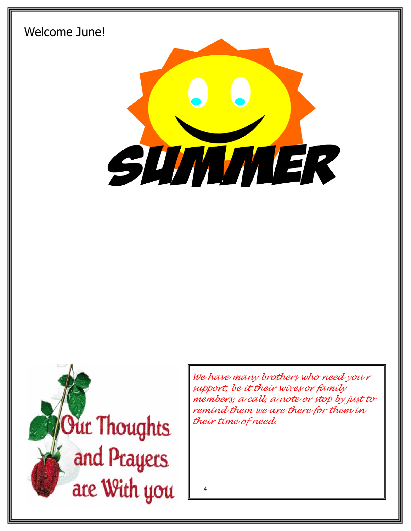